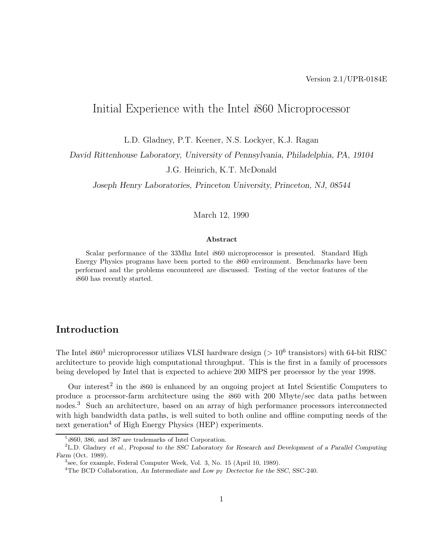# Initial Experience with the Intel *i*860 Microprocessor

L.D. Gladney, P.T. Keener, N.S. Lockyer, K.J. Ragan

*David Rittenhouse Laboratory, University of Pennsylvania, Philadelphia, PA, 19104*

J.G. Heinrich, K.T. McDonald

*Joseph Henry Laboratories, Princeton University, Princeton, NJ, 08544*

March 12, 1990

#### **Abstract**

Scalar performance of the 33Mhz Intel *i*860 microprocessor is presented. Standard High Energy Physics programs have been ported to the *i*860 environment. Benchmarks have been performed and the problems encountered are discussed. Testing of the vector features of the *i*860 has recently started.

## **Introduction**

The Intel  $i860^1$  microprocessor utilizes VLSI hardware design ( $> 10^6$  transistors) with 64-bit RISC architecture to provide high computational throughput. This is the first in a family of processors being developed by Intel that is expected to achieve 200 MIPS per processor by the year 1998.

Our interest<sup>2</sup> in the  $i860$  is enhanced by an ongoing project at Intel Scientific Computers to produce a processor-farm architecture using the *i*860 with 200 Mbyte/sec data paths between nodes.<sup>3</sup> Such an architecture, based on an array of high performance processors interconnected with high bandwidth data paths, is well suited to both online and offline computing needs of the next generation<sup>4</sup> of High Energy Physics (HEP) experiments.

 $\overline{1/6860}$ , 386, and 387 are trademarks of Intel Corporation.

<sup>2</sup>L.D. Gladney *et al.*, *Proposal to the SSC Laboratory for Research and Development of a Parallel Computing Farm* (Oct. 1989).

<sup>3</sup>see, for example, Federal Computer Week, Vol. 3, No. 15 (April 10, 1989).

<sup>4</sup>The BCD Collaboration, *An Intermediate and Low p<sup>T</sup> Dectector for the SSC*, SSC-240.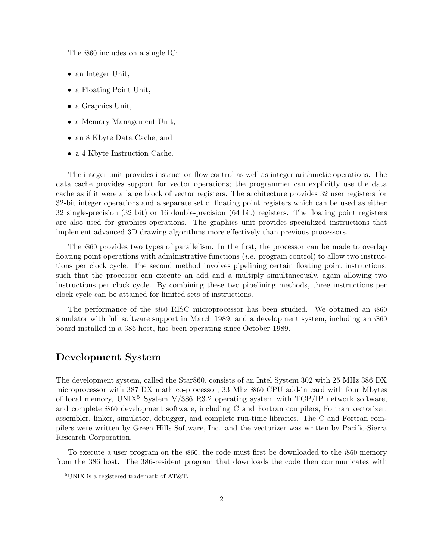The *i*860 includes on a single IC:

- an Integer Unit,
- a Floating Point Unit,
- a Graphics Unit,
- a Memory Management Unit,
- an 8 Kbyte Data Cache, and
- a 4 Kbyte Instruction Cache.

The integer unit provides instruction flow control as well as integer arithmetic operations. The data cache provides support for vector operations; the programmer can explicitly use the data cache as if it were a large block of vector registers. The architecture provides 32 user registers for 32-bit integer operations and a separate set of floating point registers which can be used as either 32 single-precision (32 bit) or 16 double-precision (64 bit) registers. The floating point registers are also used for graphics operations. The graphics unit provides specialized instructions that implement advanced 3D drawing algorithms more effectively than previous processors.

The *i*860 provides two types of parallelism. In the first, the processor can be made to overlap floating point operations with administrative functions (*i.e.* program control) to allow two instructions per clock cycle. The second method involves pipelining certain floating point instructions, such that the processor can execute an add and a multiply simultaneously, again allowing two instructions per clock cycle. By combining these two pipelining methods, three instructions per clock cycle can be attained for limited sets of instructions.

The performance of the *i*860 RISC microprocessor has been studied. We obtained an *i*860 simulator with full software support in March 1989, and a development system, including an *i*860 board installed in a 386 host, has been operating since October 1989.

### **Development System**

The development system, called the Star860, consists of an Intel System 302 with 25 MHz 386 DX microprocessor with 387 DX math co-processor, 33 Mhz *i*860 CPU add-in card with four Mbytes of local memory, UNIX<sup>5</sup> System V/386 R3.2 operating system with  $TCP/IP$  network software, and complete *i*860 development software, including C and Fortran compilers, Fortran vectorizer, assembler, linker, simulator, debugger, and complete run-time libraries. The C and Fortran compilers were written by Green Hills Software, Inc. and the vectorizer was written by Pacific-Sierra Research Corporation.

To execute a user program on the *i*860, the code must first be downloaded to the *i*860 memory from the 386 host. The 386-resident program that downloads the code then communicates with

 $5$ UNIX is a registered trademark of AT&T.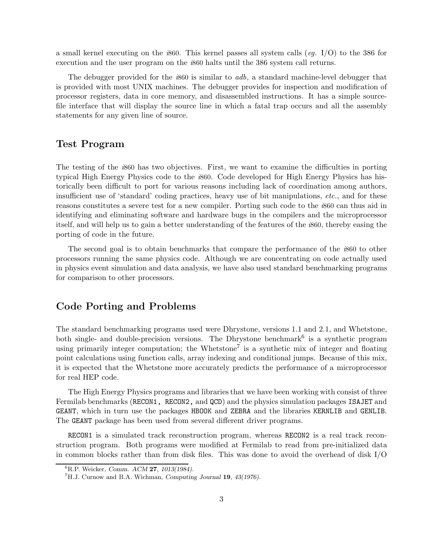a small kernel executing on the *i*860. This kernel passes all system calls (*eg.* I/O) to the 386 for execution and the user program on the *i*860 halts until the 386 system call returns.

The debugger provided for the *i*860 is similar to *adb*, a standard machine-level debugger that is provided with most UNIX machines. The debugger provides for inspection and modification of processor registers, data in core memory, and disassembled instructions. It has a simple sourcefile interface that will display the source line in which a fatal trap occurs and all the assembly statements for any given line of source.

### **Test Program**

The testing of the *i*860 has two objectives. First, we want to examine the difficulties in porting typical High Energy Physics code to the *i*860. Code developed for High Energy Physics has historically been difficult to port for various reasons including lack of coordination among authors, insufficient use of 'standard' coding practices, heavy use of bit manipulations, *etc.*, and for these reasons constitutes a severe test for a new compiler. Porting such code to the *i*860 can thus aid in identifying and eliminating software and hardware bugs in the compilers and the microprocessor itself, and will help us to gain a better understanding of the features of the *i*860, thereby easing the porting of code in the future.

The second goal is to obtain benchmarks that compare the performance of the *i*860 to other processors running the same physics code. Although we are concentrating on code actually used in physics event simulation and data analysis, we have also used standard benchmarking programs for comparison to other processors.

## **Code Porting and Problems**

The standard benchmarking programs used were Dhrystone, versions 1.1 and 2.1, and Whetstone, both single- and double-precision versions. The Dhrystone benchmark<sup>6</sup> is a synthetic program using primarily integer computation; the Whetstone<sup>7</sup> is a synthetic mix of integer and floating point calculations using function calls, array indexing and conditional jumps. Because of this mix, it is expected that the Whetstone more accurately predicts the performance of a microprocessor for real HEP code.

The High Energy Physics programs and libraries that we have been working with consist of three Fermilab benchmarks (RECON1, RECON2, and QCD) and the physics simulation packages ISAJET and GEANT, which in turn use the packages HBOOK and ZEBRA and the libraries KERNLIB and GENLIB. The GEANT package has been used from several different driver programs.

RECON1 is a simulated track reconstruction program, whereas RECON2 is a real track reconstruction program. Both programs were modified at Fermilab to read from pre-initialized data in common blocks rather than from disk files. This was done to avoid the overhead of disk I/O

<sup>6</sup>R.P. Weicker, *Comm. ACM* **27***, 1013(1984).*

<sup>7</sup>H.J. Curnow and B.A. Wichman, *Computing Journal* **19***, 43(1976).*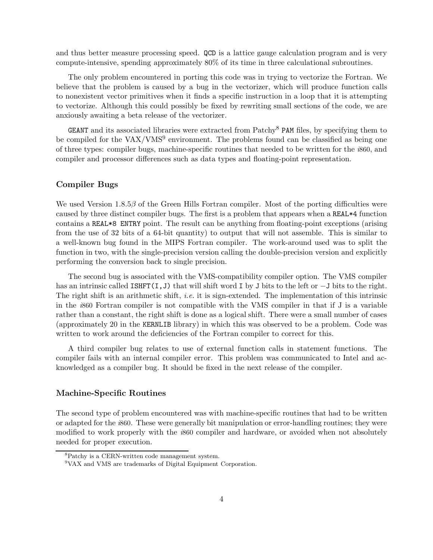and thus better measure processing speed. QCD is a lattice gauge calculation program and is very compute-intensive, spending approximately 80% of its time in three calculational subroutines.

The only problem encountered in porting this code was in trying to vectorize the Fortran. We believe that the problem is caused by a bug in the vectorizer, which will produce function calls to nonexistent vector primitives when it finds a specific instruction in a loop that it is attempting to vectorize. Although this could possibly be fixed by rewriting small sections of the code, we are anxiously awaiting a beta release of the vectorizer.

**GEANT** and its associated libraries were extracted from  $\text{Patchv}^8$  **PAM** files, by specifying them to be compiled for the  $VAX/VMS<sup>9</sup>$  environment. The problems found can be classified as being one of three types: compiler bugs, machine-specific routines that needed to be written for the *i*860, and compiler and processor differences such as data types and floating-point representation.

### **Compiler Bugs**

We used Version 1.8.5β of the Green Hills Fortran compiler. Most of the porting difficulties were caused by three distinct compiler bugs. The first is a problem that appears when a REAL\*4 function contains a REAL\*8 ENTRY point. The result can be anything from floating-point exceptions (arising from the use of 32 bits of a 64-bit quantity) to output that will not assemble. This is similar to a well-known bug found in the MIPS Fortran compiler. The work-around used was to split the function in two, with the single-precision version calling the double-precision version and explicitly performing the conversion back to single precision.

The second bug is associated with the VMS-compatibility compiler option. The VMS compiler has an intrinsic called ISHFT(I,J) that will shift word I by J bits to the left or  $-J$  bits to the right. The right shift is an arithmetic shift, *i.e.* it is sign-extended. The implementation of this intrinsic in the *i*860 Fortran compiler is not compatible with the VMS compiler in that if J is a variable rather than a constant, the right shift is done as a logical shift. There were a small number of cases (approximately 20 in the KERNLIB library) in which this was observed to be a problem. Code was written to work around the deficiencies of the Fortran compiler to correct for this.

A third compiler bug relates to use of external function calls in statement functions. The compiler fails with an internal compiler error. This problem was communicated to Intel and acknowledged as a compiler bug. It should be fixed in the next release of the compiler.

### **Machine-Specific Routines**

The second type of problem encountered was with machine-specific routines that had to be written or adapted for the *i*860. These were generally bit manipulation or error-handling routines; they were modified to work properly with the *i*860 compiler and hardware, or avoided when not absolutely needed for proper execution.

<sup>8</sup>Patchy is a CERN-written code management system.

<sup>9</sup>VAX and VMS are trademarks of Digital Equipment Corporation.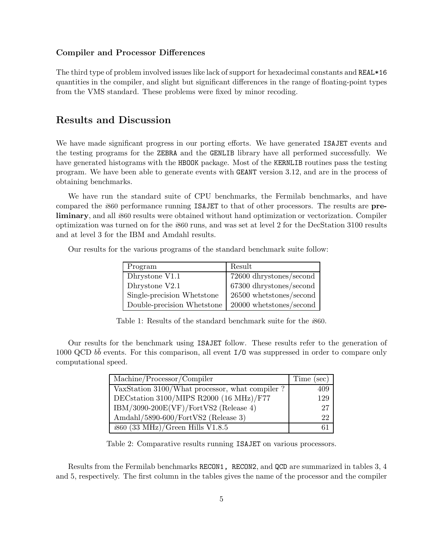### **Compiler and Processor Differences**

The third type of problem involved issues like lack of support for hexadecimal constants and REAL\*16 quantities in the compiler, and slight but significant differences in the range of floating-point types from the VMS standard. These problems were fixed by minor recoding.

## **Results and Discussion**

We have made significant progress in our porting efforts. We have generated **ISAJET** events and the testing programs for the ZEBRA and the GENLIB library have all performed successfully. We have generated histograms with the HBOOK package. Most of the KERNLIB routines pass the testing program. We have been able to generate events with GEANT version 3.12, and are in the process of obtaining benchmarks.

We have run the standard suite of CPU benchmarks, the Fermilab benchmarks, and have compared the *i*860 performance running ISAJET to that of other processors. The results are **preliminary**, and all *i*860 results were obtained without hand optimization or vectorization. Compiler optimization was turned on for the *i*860 runs, and was set at level 2 for the DecStation 3100 results and at level 3 for the IBM and Amdahl results.

Our results for the various programs of the standard benchmark suite follow:

| Program                    | Result                    |
|----------------------------|---------------------------|
| Dhrystone V1.1             | 72600 dhrystones/second   |
| Dhrystone $V2.1$           | 67300 dhrystones/second   |
| Single-precision Whetstone | $26500$ whetstones/second |
| Double-precision Whetstone | $20000$ whetstones/second |

Table 1: Results of the standard benchmark suite for the *i*860.

Our results for the benchmark using ISAJET follow. These results refer to the generation of 1000 QCD bb events. For this comparison, all event  $I/O$  was suppressed in order to compare only computational speed.

| Machine/Processor/Compiler                       | Time (sec) |
|--------------------------------------------------|------------|
| VaxStation 3100/What processor, what compiler?   | 409        |
| DEC<br>station 3100/MIPS R2000 (16 MHz)/F77 $\,$ | 129        |
| $IBM/3090-200E(VF)/FortVS2$ (Release 4)          | 27         |
| Amdahl/5890-600/FortVS2 (Release 3)              | 22         |
| $\frac{1}{6860}$ (33 MHz)/Green Hills V1.8.5     |            |

Table 2: Comparative results running ISAJET on various processors.

Results from the Fermilab benchmarks RECON1, RECON2, and QCD are summarized in tables 3, 4 and 5, respectively. The first column in the tables gives the name of the processor and the compiler